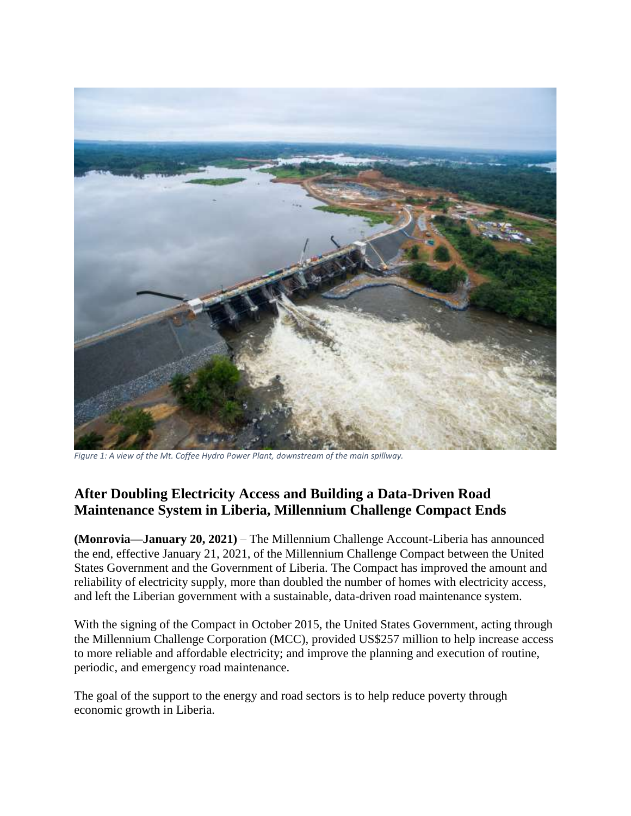

*Figure 1: A view of the Mt. Coffee Hydro Power Plant, downstream of the main spillway.*

# **After Doubling Electricity Access and Building a Data-Driven Road Maintenance System in Liberia, Millennium Challenge Compact Ends**

**(Monrovia—January 20, 2021)** – The Millennium Challenge Account-Liberia has announced the end, effective January 21, 2021, of the Millennium Challenge Compact between the United States Government and the Government of Liberia. The Compact has improved the amount and reliability of electricity supply, more than doubled the number of homes with electricity access, and left the Liberian government with a sustainable, data-driven road maintenance system.

With the signing of the Compact in October 2015, the United States Government, acting through the Millennium Challenge Corporation (MCC), provided US\$257 million to help increase access to more reliable and affordable electricity; and improve the planning and execution of routine, periodic, and emergency road maintenance.

The goal of the support to the energy and road sectors is to help reduce poverty through economic growth in Liberia.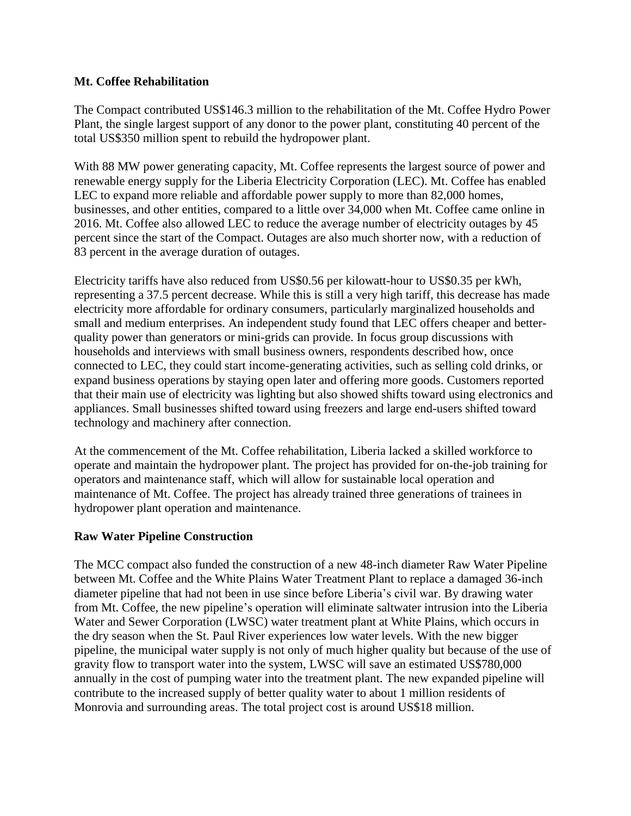#### **Mt. Coffee Rehabilitation**

The Compact contributed US\$146.3 million to the rehabilitation of the Mt. Coffee Hydro Power Plant, the single largest support of any donor to the power plant, constituting 40 percent of the total US\$350 million spent to rebuild the hydropower plant.

With 88 MW power generating capacity, Mt. Coffee represents the largest source of power and renewable energy supply for the Liberia Electricity Corporation (LEC). Mt. Coffee has enabled LEC to expand more reliable and affordable power supply to more than 82,000 homes, businesses, and other entities, compared to a little over 34,000 when Mt. Coffee came online in 2016. Mt. Coffee also allowed LEC to reduce the average number of electricity outages by 45 percent since the start of the Compact. Outages are also much shorter now, with a reduction of 83 percent in the average duration of outages.

Electricity tariffs have also reduced from US\$0.56 per kilowatt-hour to US\$0.35 per kWh, representing a 37.5 percent decrease. While this is still a very high tariff, this decrease has made electricity more affordable for ordinary consumers, particularly marginalized households and small and medium enterprises. An independent study found that LEC offers cheaper and betterquality power than generators or mini-grids can provide. In focus group discussions with households and interviews with small business owners, respondents described how, once connected to LEC, they could start income-generating activities, such as selling cold drinks, or expand business operations by staying open later and offering more goods. Customers reported that their main use of electricity was lighting but also showed shifts toward using electronics and appliances. Small businesses shifted toward using freezers and large end-users shifted toward technology and machinery after connection.

At the commencement of the Mt. Coffee rehabilitation, Liberia lacked a skilled workforce to operate and maintain the hydropower plant. The project has provided for on-the-job training for operators and maintenance staff, which will allow for sustainable local operation and maintenance of Mt. Coffee. The project has already trained three generations of trainees in hydropower plant operation and maintenance.

# **Raw Water Pipeline Construction**

The MCC compact also funded the construction of a new 48-inch diameter Raw Water Pipeline between Mt. Coffee and the White Plains Water Treatment Plant to replace a damaged 36-inch diameter pipeline that had not been in use since before Liberia's civil war. By drawing water from Mt. Coffee, the new pipeline's operation will eliminate saltwater intrusion into the Liberia Water and Sewer Corporation (LWSC) water treatment plant at White Plains, which occurs in the dry season when the St. Paul River experiences low water levels. With the new bigger pipeline, the municipal water supply is not only of much higher quality but because of the use of gravity flow to transport water into the system, LWSC will save an estimated US\$780,000 annually in the cost of pumping water into the treatment plant. The new expanded pipeline will contribute to the increased supply of better quality water to about 1 million residents of Monrovia and surrounding areas. The total project cost is around US\$18 million.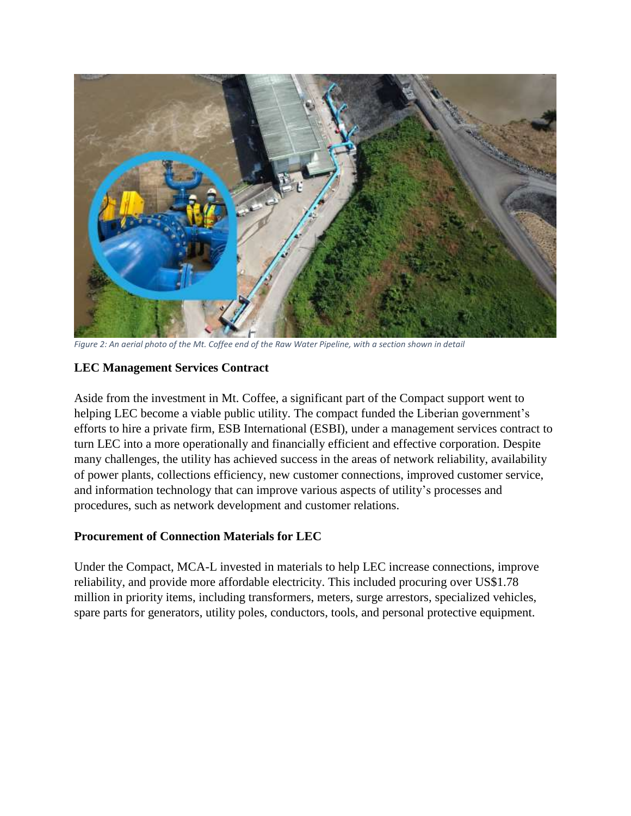

*Figure 2: An aerial photo of the Mt. Coffee end of the Raw Water Pipeline, with a section shown in detail*

# **LEC Management Services Contract**

Aside from the investment in Mt. Coffee, a significant part of the Compact support went to helping LEC become a viable public utility. The compact funded the Liberian government's efforts to hire a private firm, ESB International (ESBI), under a management services contract to turn LEC into a more operationally and financially efficient and effective corporation. Despite many challenges, the utility has achieved success in the areas of network reliability, availability of power plants, collections efficiency, new customer connections, improved customer service, and information technology that can improve various aspects of utility's processes and procedures, such as network development and customer relations.

# **Procurement of Connection Materials for LEC**

Under the Compact, MCA-L invested in materials to help LEC increase connections, improve reliability, and provide more affordable electricity. This included procuring over US\$1.78 million in priority items, including transformers, meters, surge arrestors, specialized vehicles, spare parts for generators, utility poles, conductors, tools, and personal protective equipment.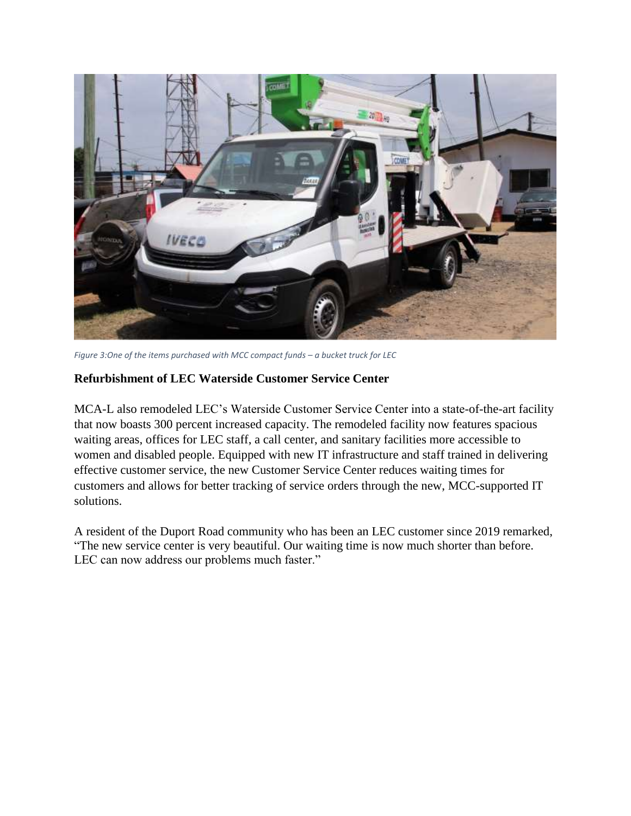

*Figure 3:One of the items purchased with MCC compact funds – a bucket truck for LEC*

#### **Refurbishment of LEC Waterside Customer Service Center**

MCA-L also remodeled LEC's Waterside Customer Service Center into a state-of-the-art facility that now boasts 300 percent increased capacity. The remodeled facility now features spacious waiting areas, offices for LEC staff, a call center, and sanitary facilities more accessible to women and disabled people. Equipped with new IT infrastructure and staff trained in delivering effective customer service, the new Customer Service Center reduces waiting times for customers and allows for better tracking of service orders through the new, MCC-supported IT solutions.

A resident of the Duport Road community who has been an LEC customer since 2019 remarked, "The new service center is very beautiful. Our waiting time is now much shorter than before. LEC can now address our problems much faster."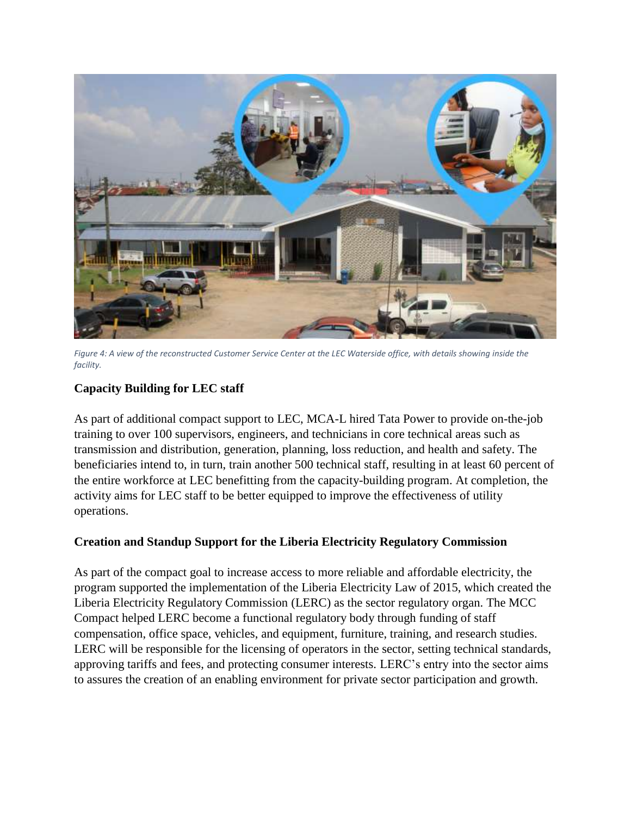

*Figure 4: A view of the reconstructed Customer Service Center at the LEC Waterside office, with details showing inside the facility.*

# **Capacity Building for LEC staff**

As part of additional compact support to LEC, MCA-L hired Tata Power to provide on-the-job training to over 100 supervisors, engineers, and technicians in core technical areas such as transmission and distribution, generation, planning, loss reduction, and health and safety. The beneficiaries intend to, in turn, train another 500 technical staff, resulting in at least 60 percent of the entire workforce at LEC benefitting from the capacity-building program. At completion, the activity aims for LEC staff to be better equipped to improve the effectiveness of utility operations.

# **Creation and Standup Support for the Liberia Electricity Regulatory Commission**

As part of the compact goal to increase access to more reliable and affordable electricity, the program supported the implementation of the Liberia Electricity Law of 2015, which created the Liberia Electricity Regulatory Commission (LERC) as the sector regulatory organ. The MCC Compact helped LERC become a functional regulatory body through funding of staff compensation, office space, vehicles, and equipment, furniture, training, and research studies. LERC will be responsible for the licensing of operators in the sector, setting technical standards, approving tariffs and fees, and protecting consumer interests. LERC's entry into the sector aims to assures the creation of an enabling environment for private sector participation and growth.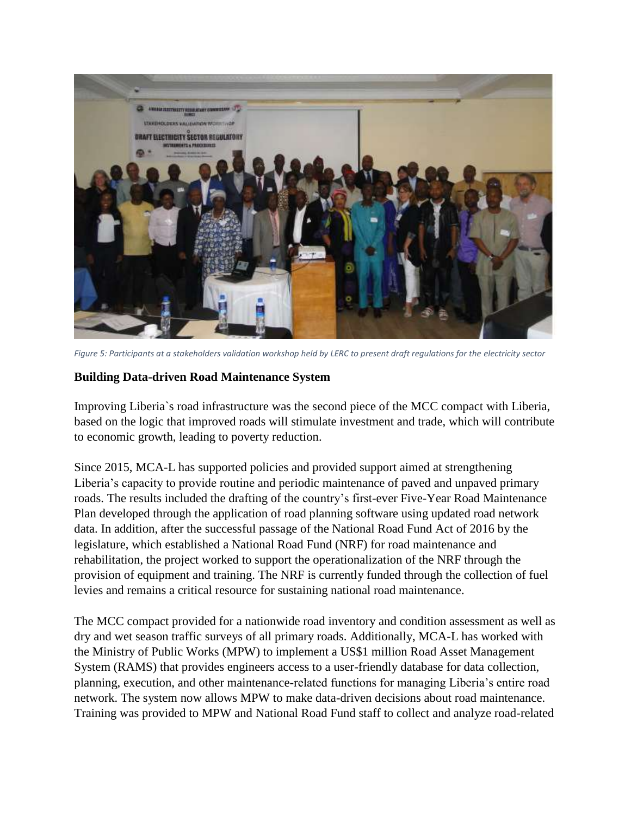

*Figure 5: Participants at a stakeholders validation workshop held by LERC to present draft regulations for the electricity sector*

# **Building Data-driven Road Maintenance System**

Improving Liberia`s road infrastructure was the second piece of the MCC compact with Liberia, based on the logic that improved roads will stimulate investment and trade, which will contribute to economic growth, leading to poverty reduction.

Since 2015, MCA-L has supported policies and provided support aimed at strengthening Liberia's capacity to provide routine and periodic maintenance of paved and unpaved primary roads. The results included the drafting of the country's first-ever Five-Year Road Maintenance Plan developed through the application of road planning software using updated road network data. In addition, after the successful passage of the National Road Fund Act of 2016 by the legislature, which established a National Road Fund (NRF) for road maintenance and rehabilitation, the project worked to support the operationalization of the NRF through the provision of equipment and training. The NRF is currently funded through the collection of fuel levies and remains a critical resource for sustaining national road maintenance.

The MCC compact provided for a nationwide road inventory and condition assessment as well as dry and wet season traffic surveys of all primary roads. Additionally, MCA-L has worked with the Ministry of Public Works (MPW) to implement a US\$1 million Road Asset Management System (RAMS) that provides engineers access to a user-friendly database for data collection, planning, execution, and other maintenance-related functions for managing Liberia's entire road network. The system now allows MPW to make data-driven decisions about road maintenance. Training was provided to MPW and National Road Fund staff to collect and analyze road-related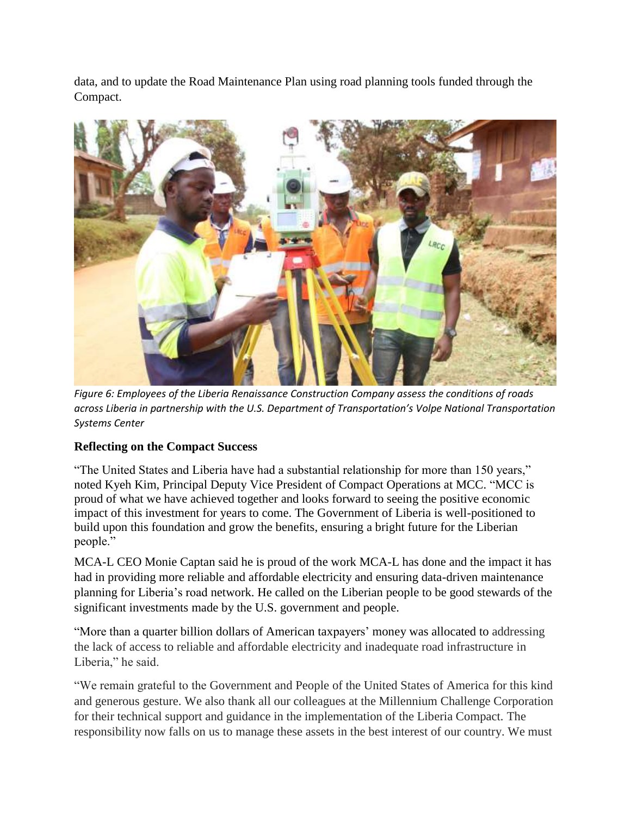data, and to update the Road Maintenance Plan using road planning tools funded through the Compact.



*Figure 6: Employees of the Liberia Renaissance Construction Company assess the conditions of roads across Liberia in partnership with the U.S. Department of Transportation's Volpe National Transportation Systems Center*

# **Reflecting on the Compact Success**

"The United States and Liberia have had a substantial relationship for more than 150 years," noted Kyeh Kim, Principal Deputy Vice President of Compact Operations at MCC. "MCC is proud of what we have achieved together and looks forward to seeing the positive economic impact of this investment for years to come. The Government of Liberia is well-positioned to build upon this foundation and grow the benefits, ensuring a bright future for the Liberian people."

MCA-L CEO Monie Captan said he is proud of the work MCA-L has done and the impact it has had in providing more reliable and affordable electricity and ensuring data-driven maintenance planning for Liberia's road network. He called on the Liberian people to be good stewards of the significant investments made by the U.S. government and people.

"More than a quarter billion dollars of American taxpayers' money was allocated to addressing the lack of access to reliable and affordable electricity and inadequate road infrastructure in Liberia," he said.

"We remain grateful to the Government and People of the United States of America for this kind and generous gesture. We also thank all our colleagues at the Millennium Challenge Corporation for their technical support and guidance in the implementation of the Liberia Compact. The responsibility now falls on us to manage these assets in the best interest of our country. We must